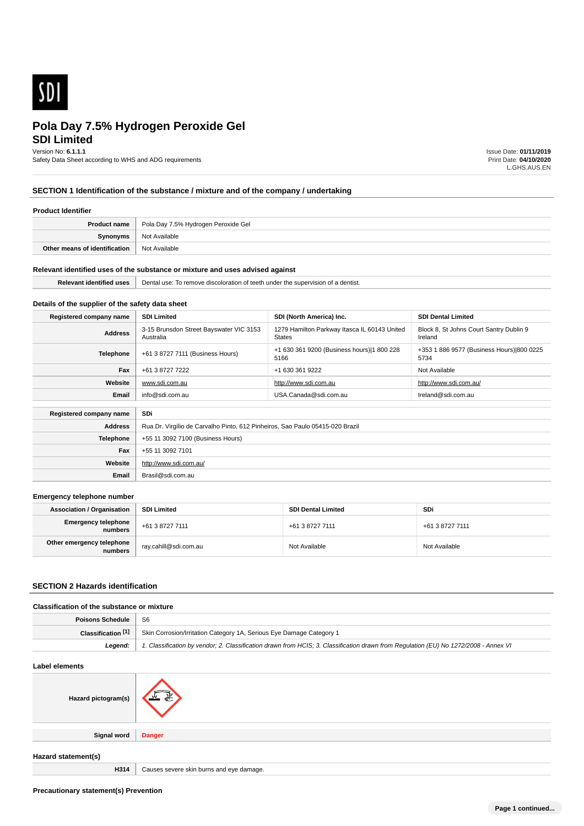

# **SDI Limited**

Version No: **6.1.1.1**

Safety Data Sheet according to WHS and ADG requirements

Issue Date: **01/11/2019** Print Date: **04/10/2020** L.GHS.AUS.EN

# **SECTION 1 Identification of the substance / mixture and of the company / undertaking**

#### **Product Identifier**

| <b>Product name</b>           | Pola Day 7.5% Hydrogen Peroxide Gel |
|-------------------------------|-------------------------------------|
| Synonyms                      | Not Available                       |
| Other means of identification | Not Available                       |

#### **Relevant identified uses of the substance or mixture and uses advised against**

**Email** Brasil@sdi.com.au

| Palawar | Dental<br><sup>+</sup> a dentist.<br>To remo<br>. Supervision of 1<br>under<br>aiscok<br>anor<br>.<br>TDE<br>nve |
|---------|------------------------------------------------------------------------------------------------------------------|
|         |                                                                                                                  |

# **Details of the supplier of the safety data sheet**

| Registered company name | <b>SDI Limited</b>                                                            | SDI (North America) Inc.                                      | <b>SDI Dental Limited</b>                          |
|-------------------------|-------------------------------------------------------------------------------|---------------------------------------------------------------|----------------------------------------------------|
| <b>Address</b>          | 3-15 Brunsdon Street Bayswater VIC 3153<br>Australia                          | 1279 Hamilton Parkway Itasca IL 60143 United<br><b>States</b> | Block 8, St Johns Court Santry Dublin 9<br>Ireland |
| <b>Telephone</b>        | +61 3 8727 7111 (Business Hours)                                              | +1 630 361 9200 (Business hours) 1 800 228<br>5166            | +353 1 886 9577 (Business Hours) 800 0225<br>5734  |
| Fax                     | +61 3 8727 7222                                                               | +1 630 361 9222                                               | Not Available                                      |
| Website                 | www.sdi.com.au                                                                | http://www.sdi.com.au                                         | http://www.sdi.com.au/                             |
| Email                   | info@sdi.com.au                                                               | USA.Canada@sdi.com.au                                         | Ireland@sdi.com.au                                 |
|                         |                                                                               |                                                               |                                                    |
| Registered company name | SDi                                                                           |                                                               |                                                    |
| <b>Address</b>          | Rua Dr. Virgílio de Carvalho Pinto, 612 Pinheiros, Sao Paulo 05415-020 Brazil |                                                               |                                                    |
| <b>Telephone</b>        | +55 11 3092 7100 (Business Hours)                                             |                                                               |                                                    |
| Fax                     | +55 11 3092 7101                                                              |                                                               |                                                    |
| Website                 | http://www.sdi.com.au/                                                        |                                                               |                                                    |

#### **Emergency telephone number**

| <b>Association / Organisation</b>    | <b>SDI Limited</b>      | <b>SDI Dental Limited</b> | SDi             |
|--------------------------------------|-------------------------|---------------------------|-----------------|
| Emergency telephone<br>numbers       | +61 3 8727 7111         | +61 3 8727 7111           | +61 3 8727 7111 |
| Other emergency telephone<br>numbers | ` ray.cahill@sdi.com.au | Not Available             | Not Available   |

# **SECTION 2 Hazards identification**

# **Classification of the substance or mixture**

| Poisons Schedule   S6 |                                                                                                                                      |
|-----------------------|--------------------------------------------------------------------------------------------------------------------------------------|
| Classification [1]    | Skin Corrosion/Irritation Category 1A, Serious Eye Damage Category 1                                                                 |
| Leaend:               | 1. Classification by vendor: 2. Classification drawn from HCIS: 3. Classification drawn from Regulation (EU) No 1272/2008 - Annex VI |

# **Label elements Hazard pictogram(s) Signal word Danger Hazard statement(s)**

**H314** Causes severe skin burns and eye damage.

**Precautionary statement(s) Prevention**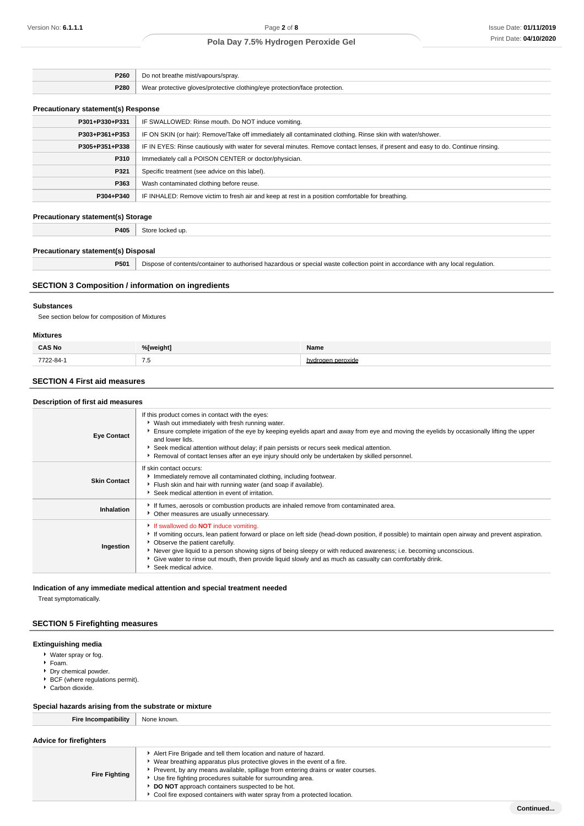| <b>P260</b><br>$\cdot$ $\cdot$ | breathe mist/vapours/spray                                |
|--------------------------------|-----------------------------------------------------------|
|                                | protective aloves/protective clothing/eve protection/face |
| P280                           | protection.                                               |

# **Precautionary statement(s) Response**

| <b>Treadulation</b> Statement(3) Response |                                                                                                                                  |
|-------------------------------------------|----------------------------------------------------------------------------------------------------------------------------------|
| P301+P330+P331                            | IF SWALLOWED: Rinse mouth. Do NOT induce vomiting.                                                                               |
| P303+P361+P353                            | IF ON SKIN (or hair): Remove/Take off immediately all contaminated clothing. Rinse skin with water/shower.                       |
| P305+P351+P338                            | IF IN EYES: Rinse cautiously with water for several minutes. Remove contact lenses, if present and easy to do. Continue rinsing. |
| P310                                      | Immediately call a POISON CENTER or doctor/physician.                                                                            |
| P321                                      | Specific treatment (see advice on this label).                                                                                   |
| P363                                      | Wash contaminated clothing before reuse.                                                                                         |
| P304+P340                                 | IF INHALED: Remove victim to fresh air and keep at rest in a position comfortable for breathing.                                 |
|                                           |                                                                                                                                  |

#### **Precautionary statement(s) Storage**

**P405** Store locked up.

## **Precautionary statement(s) Disposal**

**P501** Dispose of contents/container to authorised hazardous or special waste collection point in accordance with any local regulation.

# **SECTION 3 Composition / information on ingredients**

## **Substances**

See section below for composition of Mixtures

#### **Mixtures**

| <b>CAS No</b> | %[weight]  | Name    |
|---------------|------------|---------|
| 7722-84-1     | - -<br>7.5 | eroxide |

# **SECTION 4 First aid measures**

## **Description of first aid measures**

| <b>Eye Contact</b>  | If this product comes in contact with the eyes:<br>• Wash out immediately with fresh running water.<br>Ensure complete irrigation of the eye by keeping eyelids apart and away from eye and moving the eyelids by occasionally lifting the upper<br>and lower lids.<br>Seek medical attention without delay; if pain persists or recurs seek medical attention.<br>▶ Removal of contact lenses after an eye injury should only be undertaken by skilled personnel.                             |
|---------------------|------------------------------------------------------------------------------------------------------------------------------------------------------------------------------------------------------------------------------------------------------------------------------------------------------------------------------------------------------------------------------------------------------------------------------------------------------------------------------------------------|
| <b>Skin Contact</b> | If skin contact occurs:<br>Immediately remove all contaminated clothing, including footwear.<br>Flush skin and hair with running water (and soap if available).<br>▶ Seek medical attention in event of irritation.                                                                                                                                                                                                                                                                            |
| Inhalation          | If fumes, aerosols or combustion products are inhaled remove from contaminated area.<br>Other measures are usually unnecessary.                                                                                                                                                                                                                                                                                                                                                                |
| Ingestion           | If swallowed do <b>NOT</b> induce vomiting.<br>If vomiting occurs, lean patient forward or place on left side (head-down position, if possible) to maintain open airway and prevent aspiration.<br>• Observe the patient carefully.<br>Never give liquid to a person showing signs of being sleepy or with reduced awareness; i.e. becoming unconscious.<br>▶ Give water to rinse out mouth, then provide liquid slowly and as much as casualty can comfortably drink.<br>Seek medical advice. |

**Indication of any immediate medical attention and special treatment needed**

Treat symptomatically.

# **SECTION 5 Firefighting measures**

#### **Extinguishing media**

- Water spray or fog.
- Foam.
- **Dry chemical powder.**
- ▶ BCF (where regulations permit).
- Carbon dioxide.

## **Special hazards arising from the substrate or mixture**

**Fire Incompatibility** None known.

| <b>Advice for firefighters</b> |  |  |
|--------------------------------|--|--|
|--------------------------------|--|--|

**Fire Fighting** Alert Fire Brigade and tell them location and nature of hazard. Wear breathing apparatus plus protective gloves in the event of a fire. Prevent, by any means available, spillage from entering drains or water courses. Use fire fighting procedures suitable for surrounding area. **DO NOT** approach containers suspected to be hot. Cool fire exposed containers with water spray from a protected location.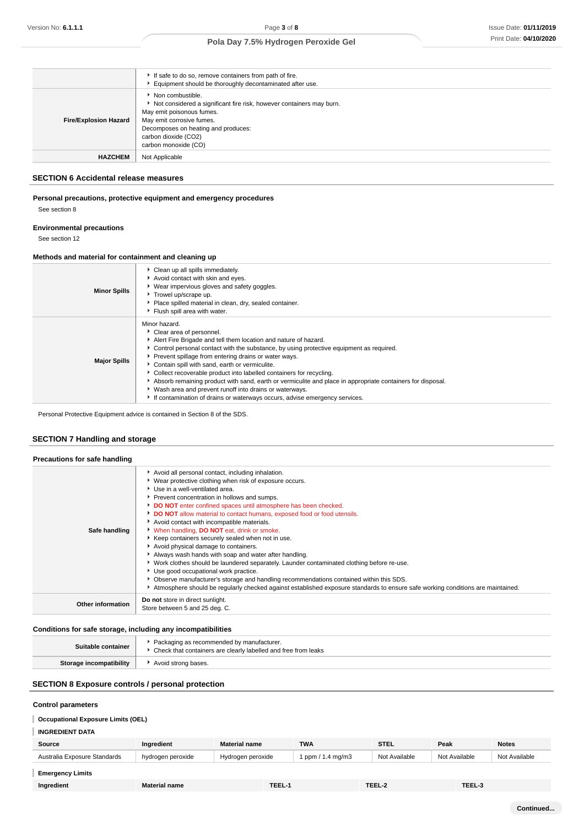|                              | If safe to do so, remove containers from path of fire.<br>Equipment should be thoroughly decontaminated after use.                                                                                                                        |
|------------------------------|-------------------------------------------------------------------------------------------------------------------------------------------------------------------------------------------------------------------------------------------|
| <b>Fire/Explosion Hazard</b> | Non combustible.<br>Not considered a significant fire risk, however containers may burn.<br>May emit poisonous fumes.<br>May emit corrosive fumes.<br>Decomposes on heating and produces:<br>carbon dioxide (CO2)<br>carbon monoxide (CO) |
| <b>HAZCHEM</b>               | Not Applicable                                                                                                                                                                                                                            |

# **SECTION 6 Accidental release measures**

# **Personal precautions, protective equipment and emergency procedures** See section 8

#### **Environmental precautions**

See section 12

# **Methods and material for containment and cleaning up**

| <b>Minor Spills</b> | Clean up all spills immediately.<br>Avoid contact with skin and eyes.<br>▶ Wear impervious gloves and safety goggles.<br>Trowel up/scrape up.<br>Place spilled material in clean, dry, sealed container.<br>Flush spill area with water.                                                                                                                                                                                                                                                                                                                                                                                                         |
|---------------------|--------------------------------------------------------------------------------------------------------------------------------------------------------------------------------------------------------------------------------------------------------------------------------------------------------------------------------------------------------------------------------------------------------------------------------------------------------------------------------------------------------------------------------------------------------------------------------------------------------------------------------------------------|
| <b>Major Spills</b> | Minor hazard.<br>Clear area of personnel.<br>Alert Fire Brigade and tell them location and nature of hazard.<br>• Control personal contact with the substance, by using protective equipment as required.<br>Prevent spillage from entering drains or water ways.<br>Contain spill with sand, earth or vermiculite.<br>Collect recoverable product into labelled containers for recycling.<br>Absorb remaining product with sand, earth or vermiculite and place in appropriate containers for disposal.<br>Wash area and prevent runoff into drains or waterways.<br>If contamination of drains or waterways occurs, advise emergency services. |

Personal Protective Equipment advice is contained in Section 8 of the SDS.

# **SECTION 7 Handling and storage**

# **Precautions for safe handling**  $\blacktriangleright$  Avoid all personal contact, including inhalation.

|                          | ▶ Wear protective clothing when risk of exposure occurs.                                                                        |
|--------------------------|---------------------------------------------------------------------------------------------------------------------------------|
|                          | ▶ Use in a well-ventilated area.                                                                                                |
|                          | ▶ Prevent concentration in hollows and sumps.                                                                                   |
|                          | DO NOT enter confined spaces until atmosphere has been checked.                                                                 |
|                          | <b>DO NOT</b> allow material to contact humans, exposed food or food utensils.                                                  |
|                          | Avoid contact with incompatible materials.                                                                                      |
| Safe handling            | <b>When handling, DO NOT eat, drink or smoke.</b>                                                                               |
|                          | ▶ Keep containers securely sealed when not in use.                                                                              |
|                          | Avoid physical damage to containers.                                                                                            |
|                          | Always wash hands with soap and water after handling.                                                                           |
|                          | ► Work clothes should be laundered separately. Launder contaminated clothing before re-use.                                     |
|                          | Use good occupational work practice.                                                                                            |
|                          | Observe manufacturer's storage and handling recommendations contained within this SDS.                                          |
|                          | Atmosphere should be regularly checked against established exposure standards to ensure safe working conditions are maintained. |
|                          | Do not store in direct sunlight.                                                                                                |
| <b>Other information</b> | Store between 5 and 25 deg. C.                                                                                                  |
|                          |                                                                                                                                 |

# **Conditions for safe storage, including any incompatibilities**

| Suitable container      | Packaging as recommended by manufacturer.<br>• Check that containers are clearly labelled and free from leaks |
|-------------------------|---------------------------------------------------------------------------------------------------------------|
| Storage incompatibility | Avoid strong bases.                                                                                           |

# **SECTION 8 Exposure controls / personal protection**

## **Control parameters**

# **Occupational Exposure Limits (OEL)**

# **INGREDIENT DATA**

| Source                       | Ingredient        | <b>Material name</b> | <b>TWA</b>                     | STEL          | Peak          | <b>Notes</b>  |
|------------------------------|-------------------|----------------------|--------------------------------|---------------|---------------|---------------|
| Australia Exposure Standards | hydrogen peroxide | Hydrogen peroxide    | 1.4 ma/m3<br>opom <sub>l</sub> | Not Available | Not Available | Not Available |
|                              |                   |                      |                                |               |               |               |

# **Emergency Limits**

| Ingredient | <b>Material name</b> | TEEL-1 | TEEL-2 | TEEL-3 |
|------------|----------------------|--------|--------|--------|
|            |                      |        |        |        |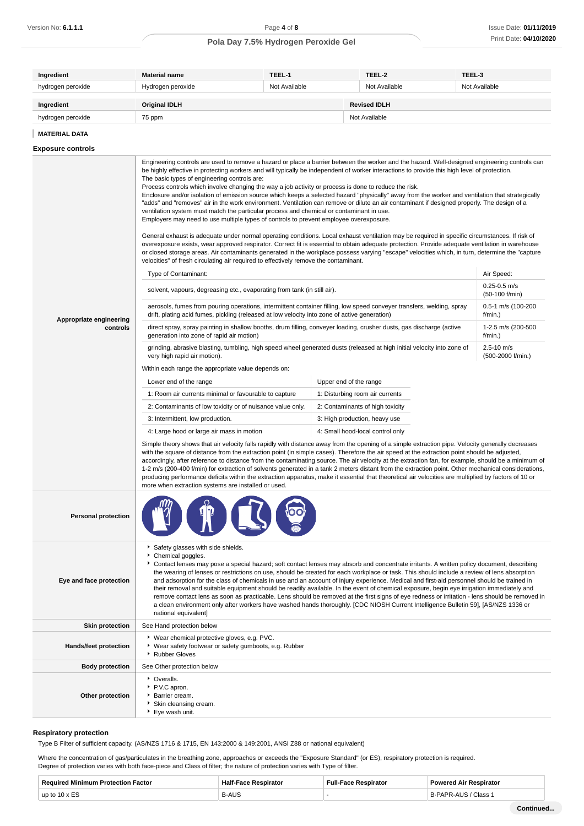| Ingredient        | <b>Material name</b> | TEEL-1        | TEEL-2              | TEEL-3        |
|-------------------|----------------------|---------------|---------------------|---------------|
| hydrogen peroxide | Hydrogen peroxide    | Not Available | Not Available       | Not Available |
|                   |                      |               |                     |               |
| Ingredient        | <b>Original IDLH</b> |               | <b>Revised IDLH</b> |               |
| hydrogen peroxide | 75 ppm               |               | Not Available       |               |

**Exposure controls**

|                            | Engineering controls are used to remove a hazard or place a barrier between the worker and the hazard. Well-designed engineering controls can<br>be highly effective in protecting workers and will typically be independent of worker interactions to provide this high level of protection.<br>The basic types of engineering controls are:<br>Process controls which involve changing the way a job activity or process is done to reduce the risk.<br>Enclosure and/or isolation of emission source which keeps a selected hazard "physically" away from the worker and ventilation that strategically<br>"adds" and "removes" air in the work environment. Ventilation can remove or dilute an air contaminant if designed properly. The design of a<br>ventilation system must match the particular process and chemical or contaminant in use.<br>Employers may need to use multiple types of controls to prevent employee overexposure.<br>General exhaust is adequate under normal operating conditions. Local exhaust ventilation may be required in specific circumstances. If risk of<br>overexposure exists, wear approved respirator. Correct fit is essential to obtain adequate protection. Provide adequate ventilation in warehouse<br>or closed storage areas. Air contaminants generated in the workplace possess varying "escape" velocities which, in turn, determine the "capture<br>velocities" of fresh circulating air required to effectively remove the contaminant.<br>Type of Contaminant: |                                  | Air Speed:                          |
|----------------------------|--------------------------------------------------------------------------------------------------------------------------------------------------------------------------------------------------------------------------------------------------------------------------------------------------------------------------------------------------------------------------------------------------------------------------------------------------------------------------------------------------------------------------------------------------------------------------------------------------------------------------------------------------------------------------------------------------------------------------------------------------------------------------------------------------------------------------------------------------------------------------------------------------------------------------------------------------------------------------------------------------------------------------------------------------------------------------------------------------------------------------------------------------------------------------------------------------------------------------------------------------------------------------------------------------------------------------------------------------------------------------------------------------------------------------------------------------------------------------------------------------------------------------|----------------------------------|-------------------------------------|
|                            |                                                                                                                                                                                                                                                                                                                                                                                                                                                                                                                                                                                                                                                                                                                                                                                                                                                                                                                                                                                                                                                                                                                                                                                                                                                                                                                                                                                                                                                                                                                          |                                  | $0.25 - 0.5$ m/s                    |
|                            | solvent, vapours, degreasing etc., evaporating from tank (in still air).                                                                                                                                                                                                                                                                                                                                                                                                                                                                                                                                                                                                                                                                                                                                                                                                                                                                                                                                                                                                                                                                                                                                                                                                                                                                                                                                                                                                                                                 |                                  | (50-100 f/min)                      |
| Appropriate engineering    | aerosols, fumes from pouring operations, intermittent container filling, low speed conveyer transfers, welding, spray<br>drift, plating acid fumes, pickling (released at low velocity into zone of active generation)                                                                                                                                                                                                                                                                                                                                                                                                                                                                                                                                                                                                                                                                                                                                                                                                                                                                                                                                                                                                                                                                                                                                                                                                                                                                                                   |                                  | 0.5-1 m/s (100-200<br>f/min.)       |
| controls                   | direct spray, spray painting in shallow booths, drum filling, conveyer loading, crusher dusts, gas discharge (active<br>generation into zone of rapid air motion)                                                                                                                                                                                                                                                                                                                                                                                                                                                                                                                                                                                                                                                                                                                                                                                                                                                                                                                                                                                                                                                                                                                                                                                                                                                                                                                                                        |                                  | 1-2.5 m/s (200-500<br>f/min.)       |
|                            | grinding, abrasive blasting, tumbling, high speed wheel generated dusts (released at high initial velocity into zone of<br>very high rapid air motion).                                                                                                                                                                                                                                                                                                                                                                                                                                                                                                                                                                                                                                                                                                                                                                                                                                                                                                                                                                                                                                                                                                                                                                                                                                                                                                                                                                  |                                  | $2.5 - 10$ m/s<br>(500-2000 f/min.) |
|                            | Within each range the appropriate value depends on:                                                                                                                                                                                                                                                                                                                                                                                                                                                                                                                                                                                                                                                                                                                                                                                                                                                                                                                                                                                                                                                                                                                                                                                                                                                                                                                                                                                                                                                                      |                                  |                                     |
|                            | Lower end of the range                                                                                                                                                                                                                                                                                                                                                                                                                                                                                                                                                                                                                                                                                                                                                                                                                                                                                                                                                                                                                                                                                                                                                                                                                                                                                                                                                                                                                                                                                                   | Upper end of the range           |                                     |
|                            | 1: Room air currents minimal or favourable to capture                                                                                                                                                                                                                                                                                                                                                                                                                                                                                                                                                                                                                                                                                                                                                                                                                                                                                                                                                                                                                                                                                                                                                                                                                                                                                                                                                                                                                                                                    | 1: Disturbing room air currents  |                                     |
|                            | 2: Contaminants of low toxicity or of nuisance value only.                                                                                                                                                                                                                                                                                                                                                                                                                                                                                                                                                                                                                                                                                                                                                                                                                                                                                                                                                                                                                                                                                                                                                                                                                                                                                                                                                                                                                                                               | 2: Contaminants of high toxicity |                                     |
|                            | 3: Intermittent, low production.                                                                                                                                                                                                                                                                                                                                                                                                                                                                                                                                                                                                                                                                                                                                                                                                                                                                                                                                                                                                                                                                                                                                                                                                                                                                                                                                                                                                                                                                                         | 3: High production, heavy use    |                                     |
|                            | 4: Large hood or large air mass in motion                                                                                                                                                                                                                                                                                                                                                                                                                                                                                                                                                                                                                                                                                                                                                                                                                                                                                                                                                                                                                                                                                                                                                                                                                                                                                                                                                                                                                                                                                | 4: Small hood-local control only |                                     |
|                            | Simple theory shows that air velocity falls rapidly with distance away from the opening of a simple extraction pipe. Velocity generally decreases<br>with the square of distance from the extraction point (in simple cases). Therefore the air speed at the extraction point should be adjusted,<br>accordingly, after reference to distance from the contaminating source. The air velocity at the extraction fan, for example, should be a minimum of<br>1-2 m/s (200-400 f/min) for extraction of solvents generated in a tank 2 meters distant from the extraction point. Other mechanical considerations,<br>producing performance deficits within the extraction apparatus, make it essential that theoretical air velocities are multiplied by factors of 10 or<br>more when extraction systems are installed or used.                                                                                                                                                                                                                                                                                                                                                                                                                                                                                                                                                                                                                                                                                           |                                  |                                     |
| <b>Personal protection</b> |                                                                                                                                                                                                                                                                                                                                                                                                                                                                                                                                                                                                                                                                                                                                                                                                                                                                                                                                                                                                                                                                                                                                                                                                                                                                                                                                                                                                                                                                                                                          |                                  |                                     |
| Eye and face protection    | Safety glasses with side shields.<br>Chemical goggles.<br>Contact lenses may pose a special hazard; soft contact lenses may absorb and concentrate irritants. A written policy document, describing<br>the wearing of lenses or restrictions on use, should be created for each workplace or task. This should include a review of lens absorption<br>and adsorption for the class of chemicals in use and an account of injury experience. Medical and first-aid personnel should be trained in<br>their removal and suitable equipment should be readily available. In the event of chemical exposure, begin eye irrigation immediately and<br>remove contact lens as soon as practicable. Lens should be removed at the first signs of eye redness or irritation - lens should be removed in<br>a clean environment only after workers have washed hands thoroughly. [CDC NIOSH Current Intelligence Bulletin 59], [AS/NZS 1336 or<br>national equivalent]                                                                                                                                                                                                                                                                                                                                                                                                                                                                                                                                                            |                                  |                                     |
| <b>Skin protection</b>     | See Hand protection below                                                                                                                                                                                                                                                                                                                                                                                                                                                                                                                                                                                                                                                                                                                                                                                                                                                                                                                                                                                                                                                                                                                                                                                                                                                                                                                                                                                                                                                                                                |                                  |                                     |
| Hands/feet protection      | ▶ Wear chemical protective gloves, e.g. PVC.<br>* Wear safety footwear or safety gumboots, e.g. Rubber<br>Rubber Gloves                                                                                                                                                                                                                                                                                                                                                                                                                                                                                                                                                                                                                                                                                                                                                                                                                                                                                                                                                                                                                                                                                                                                                                                                                                                                                                                                                                                                  |                                  |                                     |
| <b>Body protection</b>     | See Other protection below                                                                                                                                                                                                                                                                                                                                                                                                                                                                                                                                                                                                                                                                                                                                                                                                                                                                                                                                                                                                                                                                                                                                                                                                                                                                                                                                                                                                                                                                                               |                                  |                                     |
| Other protection           | • Overalls.<br>P.V.C apron.<br>Barrier cream.<br>Skin cleansing cream.<br>▶ Eye wash unit.                                                                                                                                                                                                                                                                                                                                                                                                                                                                                                                                                                                                                                                                                                                                                                                                                                                                                                                                                                                                                                                                                                                                                                                                                                                                                                                                                                                                                               |                                  |                                     |

## **Respiratory protection**

Type B Filter of sufficient capacity. (AS/NZS 1716 & 1715, EN 143:2000 & 149:2001, ANSI Z88 or national equivalent)

Where the concentration of gas/particulates in the breathing zone, approaches or exceeds the "Exposure Standard" (or ES), respiratory protection is required. Degree of protection varies with both face-piece and Class of filter; the nature of protection varies with Type of filter.

| <b>Doou</b><br>actor<br>. | Hall         | 100000 |
|---------------------------|--------------|--------|
| up to                     | <b>B-AUS</b> | :lass  |
|                           | $ -$         | .      |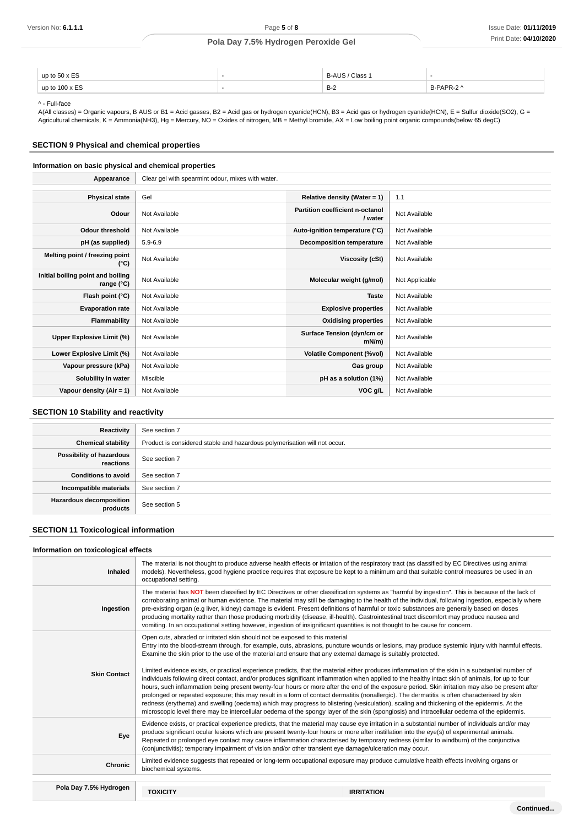| up to $50 \times ES$  | - | / Class<br>D-Al        | -                        |
|-----------------------|---|------------------------|--------------------------|
| up to $100 \times ES$ |   | <b>D</b> $\sim$<br>D-4 | $\degree$ DAPR-2 $\land$ |

^ - Full-face

A(All classes) = Organic vapours, B AUS or B1 = Acid gasses, B2 = Acid gas or hydrogen cyanide(HCN), B3 = Acid gas or hydrogen cyanide(HCN), E = Sulfur dioxide(SO2), G = Agricultural chemicals, K = Ammonia(NH3), Hg = Mercury, NO = Oxides of nitrogen, MB = Methyl bromide, AX = Low boiling point organic compounds(below 65 degC)

# **SECTION 9 Physical and chemical properties**

# **Information on basic physical and chemical properties**

| Appearance                                      | Clear gel with spearmint odour, mixes with water. |                                            |                |
|-------------------------------------------------|---------------------------------------------------|--------------------------------------------|----------------|
|                                                 |                                                   |                                            |                |
| <b>Physical state</b>                           | Gel                                               | Relative density (Water = $1$ )            | 1.1            |
| Odour                                           | Not Available                                     | Partition coefficient n-octanol<br>/ water | Not Available  |
| <b>Odour threshold</b>                          | Not Available                                     | Auto-ignition temperature (°C)             | Not Available  |
| pH (as supplied)                                | $5.9 - 6.9$                                       | Decomposition temperature                  | Not Available  |
| Melting point / freezing point<br>(°C)          | Not Available                                     | Viscosity (cSt)                            | Not Available  |
| Initial boiling point and boiling<br>range (°C) | Not Available                                     | Molecular weight (g/mol)                   | Not Applicable |
| Flash point (°C)                                | Not Available                                     | <b>Taste</b>                               | Not Available  |
| <b>Evaporation rate</b>                         | Not Available                                     | <b>Explosive properties</b>                | Not Available  |
| Flammability                                    | Not Available                                     | <b>Oxidising properties</b>                | Not Available  |
| Upper Explosive Limit (%)                       | Not Available                                     | Surface Tension (dyn/cm or<br>$mN/m$ )     | Not Available  |
| Lower Explosive Limit (%)                       | Not Available                                     | <b>Volatile Component (%vol)</b>           | Not Available  |
| Vapour pressure (kPa)                           | Not Available                                     | Gas group                                  | Not Available  |
| Solubility in water                             | Miscible                                          | pH as a solution (1%)                      | Not Available  |
| Vapour density (Air = 1)                        | Not Available                                     | VOC g/L                                    | Not Available  |

# **SECTION 10 Stability and reactivity**

| Reactivity                                 | See section 7                                                             |
|--------------------------------------------|---------------------------------------------------------------------------|
| <b>Chemical stability</b>                  | Product is considered stable and hazardous polymerisation will not occur. |
| Possibility of hazardous<br>reactions      | See section 7                                                             |
| <b>Conditions to avoid</b>                 | See section 7                                                             |
| Incompatible materials                     | See section 7                                                             |
| <b>Hazardous decomposition</b><br>products | See section 5                                                             |

# **SECTION 11 Toxicological information**

## **Information on toxicological effects**

| Inhaled                | The material is not thought to produce adverse health effects or irritation of the respiratory tract (as classified by EC Directives using animal<br>models). Nevertheless, good hygiene practice requires that exposure be kept to a minimum and that suitable control measures be used in an<br>occupational setting.                                                                                                                                                                                                                                                                                                                                                                                                                                                                                                                                                                                                                                                                                                                                                                                                                                                                                                                                  |                   |  |
|------------------------|----------------------------------------------------------------------------------------------------------------------------------------------------------------------------------------------------------------------------------------------------------------------------------------------------------------------------------------------------------------------------------------------------------------------------------------------------------------------------------------------------------------------------------------------------------------------------------------------------------------------------------------------------------------------------------------------------------------------------------------------------------------------------------------------------------------------------------------------------------------------------------------------------------------------------------------------------------------------------------------------------------------------------------------------------------------------------------------------------------------------------------------------------------------------------------------------------------------------------------------------------------|-------------------|--|
| Ingestion              | The material has NOT been classified by EC Directives or other classification systems as "harmful by ingestion". This is because of the lack of<br>corroborating animal or human evidence. The material may still be damaging to the health of the individual, following ingestion, especially where<br>pre-existing organ (e.g liver, kidney) damage is evident. Present definitions of harmful or toxic substances are generally based on doses<br>producing mortality rather than those producing morbidity (disease, ill-health). Gastrointestinal tract discomfort may produce nausea and<br>vomiting. In an occupational setting however, ingestion of insignificant quantities is not thought to be cause for concern.                                                                                                                                                                                                                                                                                                                                                                                                                                                                                                                            |                   |  |
| <b>Skin Contact</b>    | Open cuts, abraded or irritated skin should not be exposed to this material<br>Entry into the blood-stream through, for example, cuts, abrasions, puncture wounds or lesions, may produce systemic injury with harmful effects.<br>Examine the skin prior to the use of the material and ensure that any external damage is suitably protected.<br>Limited evidence exists, or practical experience predicts, that the material either produces inflammation of the skin in a substantial number of<br>individuals following direct contact, and/or produces significant inflammation when applied to the healthy intact skin of animals, for up to four<br>hours, such inflammation being present twenty-four hours or more after the end of the exposure period. Skin irritation may also be present after<br>prolonged or repeated exposure; this may result in a form of contact dermatitis (nonallergic). The dermatitis is often characterised by skin<br>redness (erythema) and swelling (oedema) which may progress to blistering (vesiculation), scaling and thickening of the epidermis. At the<br>microscopic level there may be intercellular oedema of the spongy layer of the skin (spongiosis) and intracellular oedema of the epidermis. |                   |  |
| Eye                    | Evidence exists, or practical experience predicts, that the material may cause eye irritation in a substantial number of individuals and/or may<br>produce significant ocular lesions which are present twenty-four hours or more after instillation into the eye(s) of experimental animals.<br>Repeated or prolonged eye contact may cause inflammation characterised by temporary redness (similar to windburn) of the conjunctiva<br>(conjunctivitis); temporary impairment of vision and/or other transient eye damage/ulceration may occur.                                                                                                                                                                                                                                                                                                                                                                                                                                                                                                                                                                                                                                                                                                        |                   |  |
| <b>Chronic</b>         | Limited evidence suggests that repeated or long-term occupational exposure may produce cumulative health effects involving organs or<br>biochemical systems.                                                                                                                                                                                                                                                                                                                                                                                                                                                                                                                                                                                                                                                                                                                                                                                                                                                                                                                                                                                                                                                                                             |                   |  |
|                        |                                                                                                                                                                                                                                                                                                                                                                                                                                                                                                                                                                                                                                                                                                                                                                                                                                                                                                                                                                                                                                                                                                                                                                                                                                                          |                   |  |
| Pola Day 7.5% Hydrogen | <b>TOXICITY</b>                                                                                                                                                                                                                                                                                                                                                                                                                                                                                                                                                                                                                                                                                                                                                                                                                                                                                                                                                                                                                                                                                                                                                                                                                                          | <b>IRRITATION</b> |  |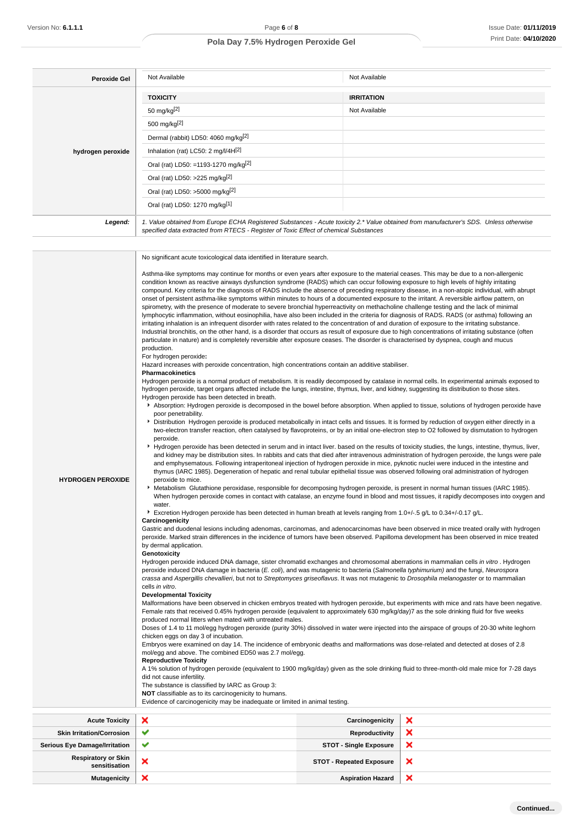| <b>Peroxide Gel</b> | Not Available                                                                                                                                                                                                                   | Not Available     |
|---------------------|---------------------------------------------------------------------------------------------------------------------------------------------------------------------------------------------------------------------------------|-------------------|
|                     | <b>TOXICITY</b>                                                                                                                                                                                                                 | <b>IRRITATION</b> |
|                     | 50 mg/kg <sup>[2]</sup>                                                                                                                                                                                                         | Not Available     |
|                     | 500 mg/kg <sup>[2]</sup>                                                                                                                                                                                                        |                   |
|                     | Dermal (rabbit) LD50: 4060 mg/kg <sup>[2]</sup>                                                                                                                                                                                 |                   |
| hydrogen peroxide   | Inhalation (rat) LC50: 2 mg/l/4H[2]                                                                                                                                                                                             |                   |
|                     | Oral (rat) LD50: =1193-1270 mg/kg <sup>[2]</sup>                                                                                                                                                                                |                   |
|                     | Oral (rat) LD50: >225 mg/kg <sup>[2]</sup>                                                                                                                                                                                      |                   |
|                     | Oral (rat) LD50: >5000 mg/kg <sup>[2]</sup>                                                                                                                                                                                     |                   |
|                     | Oral (rat) LD50: 1270 mg/kg[1]                                                                                                                                                                                                  |                   |
| Legend:             | 1. Value obtained from Europe ECHA Registered Substances - Acute toxicity 2.* Value obtained from manufacturer's SDS. Unless otherwise<br>specified data extracted from RTECS - Register of Toxic Effect of chemical Substances |                   |

|                                                                                                                                                                                                                                                                                                                                 | No significant acute toxicological data identified in literature search.                                                                                                                                                                                                                                                                                                                                                                                                                                                                                                                                                                                                                                                                                                                                                                                                                                                                                                                                                                                                                                                                                                                                                                                                                                                                                                |                                 |   |  |
|---------------------------------------------------------------------------------------------------------------------------------------------------------------------------------------------------------------------------------------------------------------------------------------------------------------------------------|-------------------------------------------------------------------------------------------------------------------------------------------------------------------------------------------------------------------------------------------------------------------------------------------------------------------------------------------------------------------------------------------------------------------------------------------------------------------------------------------------------------------------------------------------------------------------------------------------------------------------------------------------------------------------------------------------------------------------------------------------------------------------------------------------------------------------------------------------------------------------------------------------------------------------------------------------------------------------------------------------------------------------------------------------------------------------------------------------------------------------------------------------------------------------------------------------------------------------------------------------------------------------------------------------------------------------------------------------------------------------|---------------------------------|---|--|
|                                                                                                                                                                                                                                                                                                                                 | Asthma-like symptoms may continue for months or even years after exposure to the material ceases. This may be due to a non-allergenic<br>condition known as reactive airways dysfunction syndrome (RADS) which can occur following exposure to high levels of highly irritating<br>compound. Key criteria for the diagnosis of RADS include the absence of preceding respiratory disease, in a non-atopic individual, with abrupt<br>onset of persistent asthma-like symptoms within minutes to hours of a documented exposure to the irritant. A reversible airflow pattern, on<br>spirometry, with the presence of moderate to severe bronchial hyperreactivity on methacholine challenge testing and the lack of minimal<br>lymphocytic inflammation, without eosinophilia, have also been included in the criteria for diagnosis of RADS. RADS (or asthma) following an<br>irritating inhalation is an infrequent disorder with rates related to the concentration of and duration of exposure to the irritating substance.<br>Industrial bronchitis, on the other hand, is a disorder that occurs as result of exposure due to high concentrations of irritating substance (often<br>particulate in nature) and is completely reversible after exposure ceases. The disorder is characterised by dyspnea, cough and mucus<br>production.<br>For hydrogen peroxide: |                                 |   |  |
|                                                                                                                                                                                                                                                                                                                                 | Hazard increases with peroxide concentration, high concentrations contain an additive stabiliser.                                                                                                                                                                                                                                                                                                                                                                                                                                                                                                                                                                                                                                                                                                                                                                                                                                                                                                                                                                                                                                                                                                                                                                                                                                                                       |                                 |   |  |
|                                                                                                                                                                                                                                                                                                                                 | <b>Pharmacokinetics</b><br>Hydrogen peroxide is a normal product of metabolism. It is readily decomposed by catalase in normal cells. In experimental animals exposed to<br>hydrogen peroxide, target organs affected include the lungs, intestine, thymus, liver, and kidney, suggesting its distribution to those sites.                                                                                                                                                                                                                                                                                                                                                                                                                                                                                                                                                                                                                                                                                                                                                                                                                                                                                                                                                                                                                                              |                                 |   |  |
|                                                                                                                                                                                                                                                                                                                                 | Hydrogen peroxide has been detected in breath.<br>Absorption: Hydrogen peroxide is decomposed in the bowel before absorption. When applied to tissue, solutions of hydrogen peroxide have                                                                                                                                                                                                                                                                                                                                                                                                                                                                                                                                                                                                                                                                                                                                                                                                                                                                                                                                                                                                                                                                                                                                                                               |                                 |   |  |
|                                                                                                                                                                                                                                                                                                                                 | poor penetrability.<br>Distribution Hydrogen peroxide is produced metabolically in intact cells and tissues. It is formed by reduction of oxygen either directly in a<br>two-electron transfer reaction, often catalysed by flavoproteins, or by an initial one-electron step to O2 followed by dismutation to hydrogen                                                                                                                                                                                                                                                                                                                                                                                                                                                                                                                                                                                                                                                                                                                                                                                                                                                                                                                                                                                                                                                 |                                 |   |  |
|                                                                                                                                                                                                                                                                                                                                 | peroxide.<br>▶ Hydrogen peroxide has been detected in serum and in intact liver. based on the results of toxicity studies, the lungs, intestine, thymus, liver,<br>and kidney may be distribution sites. In rabbits and cats that died after intravenous administration of hydrogen peroxide, the lungs were pale<br>and emphysematous. Following intraperitoneal injection of hydrogen peroxide in mice, pyknotic nuclei were induced in the intestine and<br>thymus (IARC 1985). Degeneration of hepatic and renal tubular epithelial tissue was observed following oral administration of hydrogen                                                                                                                                                                                                                                                                                                                                                                                                                                                                                                                                                                                                                                                                                                                                                                   |                                 |   |  |
| <b>HYDROGEN PEROXIDE</b><br>peroxide to mice.<br>▶ Metabolism Glutathione peroxidase, responsible for decomposing hydrogen peroxide, is present in normal human tissues (IARC 1985).<br>When hydrogen peroxide comes in contact with catalase, an enzyme found in blood and most tissues, it rapidly decomposes into oxygen and |                                                                                                                                                                                                                                                                                                                                                                                                                                                                                                                                                                                                                                                                                                                                                                                                                                                                                                                                                                                                                                                                                                                                                                                                                                                                                                                                                                         |                                 |   |  |
|                                                                                                                                                                                                                                                                                                                                 | water.                                                                                                                                                                                                                                                                                                                                                                                                                                                                                                                                                                                                                                                                                                                                                                                                                                                                                                                                                                                                                                                                                                                                                                                                                                                                                                                                                                  |                                 |   |  |
|                                                                                                                                                                                                                                                                                                                                 | Excretion Hydrogen peroxide has been detected in human breath at levels ranging from 1.0+/-.5 g/L to 0.34+/-0.17 g/L.<br>Carcinogenicity                                                                                                                                                                                                                                                                                                                                                                                                                                                                                                                                                                                                                                                                                                                                                                                                                                                                                                                                                                                                                                                                                                                                                                                                                                |                                 |   |  |
| Gastric and duodenal lesions including adenomas, carcinomas, and adenocarcinomas have been observed in mice treated orally with hydrogen<br>peroxide. Marked strain differences in the incidence of tumors have been observed. Papilloma development has been observed in mice treated                                          |                                                                                                                                                                                                                                                                                                                                                                                                                                                                                                                                                                                                                                                                                                                                                                                                                                                                                                                                                                                                                                                                                                                                                                                                                                                                                                                                                                         |                                 |   |  |
|                                                                                                                                                                                                                                                                                                                                 | by dermal application.<br>Genotoxicity                                                                                                                                                                                                                                                                                                                                                                                                                                                                                                                                                                                                                                                                                                                                                                                                                                                                                                                                                                                                                                                                                                                                                                                                                                                                                                                                  |                                 |   |  |
|                                                                                                                                                                                                                                                                                                                                 | Hydrogen peroxide induced DNA damage, sister chromatid exchanges and chromosomal aberrations in mammalian cells in vitro. Hydrogen                                                                                                                                                                                                                                                                                                                                                                                                                                                                                                                                                                                                                                                                                                                                                                                                                                                                                                                                                                                                                                                                                                                                                                                                                                      |                                 |   |  |
|                                                                                                                                                                                                                                                                                                                                 | peroxide induced DNA damage in bacteria (E. coli), and was mutagenic to bacteria (Salmonella typhimurium) and the fungi, Neurospora<br>crassa and Aspergillis chevallieri, but not to Streptomyces griseoflavus. It was not mutagenic to Drosophila melanogaster or to mammalian                                                                                                                                                                                                                                                                                                                                                                                                                                                                                                                                                                                                                                                                                                                                                                                                                                                                                                                                                                                                                                                                                        |                                 |   |  |
|                                                                                                                                                                                                                                                                                                                                 | cells in vitro.<br><b>Developmental Toxicity</b><br>Malformations have been observed in chicken embryos treated with hydrogen peroxide, but experiments with mice and rats have been negative.<br>Female rats that received 0.45% hydrogen peroxide (equivalent to approximately 630 mg/kg/day)7 as the sole drinking fluid for five weeks<br>produced normal litters when mated with untreated males.<br>Doses of 1.4 to 11 mol/egg hydrogen peroxide (purity 30%) dissolved in water were injected into the airspace of groups of 20-30 white leghorn<br>chicken eggs on day 3 of incubation.<br>Embryos were examined on day 14. The incidence of embryonic deaths and malformations was dose-related and detected at doses of 2.8<br>mol/egg and above. The combined ED50 was 2.7 mol/egg.<br><b>Reproductive Toxicity</b>                                                                                                                                                                                                                                                                                                                                                                                                                                                                                                                                          |                                 |   |  |
|                                                                                                                                                                                                                                                                                                                                 |                                                                                                                                                                                                                                                                                                                                                                                                                                                                                                                                                                                                                                                                                                                                                                                                                                                                                                                                                                                                                                                                                                                                                                                                                                                                                                                                                                         |                                 |   |  |
|                                                                                                                                                                                                                                                                                                                                 |                                                                                                                                                                                                                                                                                                                                                                                                                                                                                                                                                                                                                                                                                                                                                                                                                                                                                                                                                                                                                                                                                                                                                                                                                                                                                                                                                                         |                                 |   |  |
|                                                                                                                                                                                                                                                                                                                                 |                                                                                                                                                                                                                                                                                                                                                                                                                                                                                                                                                                                                                                                                                                                                                                                                                                                                                                                                                                                                                                                                                                                                                                                                                                                                                                                                                                         |                                 |   |  |
|                                                                                                                                                                                                                                                                                                                                 |                                                                                                                                                                                                                                                                                                                                                                                                                                                                                                                                                                                                                                                                                                                                                                                                                                                                                                                                                                                                                                                                                                                                                                                                                                                                                                                                                                         |                                 |   |  |
|                                                                                                                                                                                                                                                                                                                                 |                                                                                                                                                                                                                                                                                                                                                                                                                                                                                                                                                                                                                                                                                                                                                                                                                                                                                                                                                                                                                                                                                                                                                                                                                                                                                                                                                                         |                                 |   |  |
| A 1% solution of hydrogen peroxide (equivalent to 1900 mg/kg/day) given as the sole drinking fluid to three-month-old male mice for 7-28 days<br>did not cause infertility.<br>The substance is classified by IARC as Group 3:                                                                                                  |                                                                                                                                                                                                                                                                                                                                                                                                                                                                                                                                                                                                                                                                                                                                                                                                                                                                                                                                                                                                                                                                                                                                                                                                                                                                                                                                                                         |                                 |   |  |
|                                                                                                                                                                                                                                                                                                                                 |                                                                                                                                                                                                                                                                                                                                                                                                                                                                                                                                                                                                                                                                                                                                                                                                                                                                                                                                                                                                                                                                                                                                                                                                                                                                                                                                                                         |                                 |   |  |
|                                                                                                                                                                                                                                                                                                                                 | NOT classifiable as to its carcinogenicity to humans.<br>Evidence of carcinogenicity may be inadequate or limited in animal testing.                                                                                                                                                                                                                                                                                                                                                                                                                                                                                                                                                                                                                                                                                                                                                                                                                                                                                                                                                                                                                                                                                                                                                                                                                                    |                                 |   |  |
| <b>Acute Toxicity</b>                                                                                                                                                                                                                                                                                                           | ×                                                                                                                                                                                                                                                                                                                                                                                                                                                                                                                                                                                                                                                                                                                                                                                                                                                                                                                                                                                                                                                                                                                                                                                                                                                                                                                                                                       | Carcinogenicity                 | × |  |
| <b>Skin Irritation/Corrosion</b>                                                                                                                                                                                                                                                                                                | ✔                                                                                                                                                                                                                                                                                                                                                                                                                                                                                                                                                                                                                                                                                                                                                                                                                                                                                                                                                                                                                                                                                                                                                                                                                                                                                                                                                                       | Reproductivity                  | × |  |
| <b>Serious Eye Damage/Irritation</b>                                                                                                                                                                                                                                                                                            | ✔                                                                                                                                                                                                                                                                                                                                                                                                                                                                                                                                                                                                                                                                                                                                                                                                                                                                                                                                                                                                                                                                                                                                                                                                                                                                                                                                                                       | <b>STOT - Single Exposure</b>   | × |  |
| <b>Respiratory or Skin</b><br>sensitisation                                                                                                                                                                                                                                                                                     | ×                                                                                                                                                                                                                                                                                                                                                                                                                                                                                                                                                                                                                                                                                                                                                                                                                                                                                                                                                                                                                                                                                                                                                                                                                                                                                                                                                                       | <b>STOT - Repeated Exposure</b> | × |  |

**Mutagenicity X Aspiration Hazard** 

 $\pmb{\times}$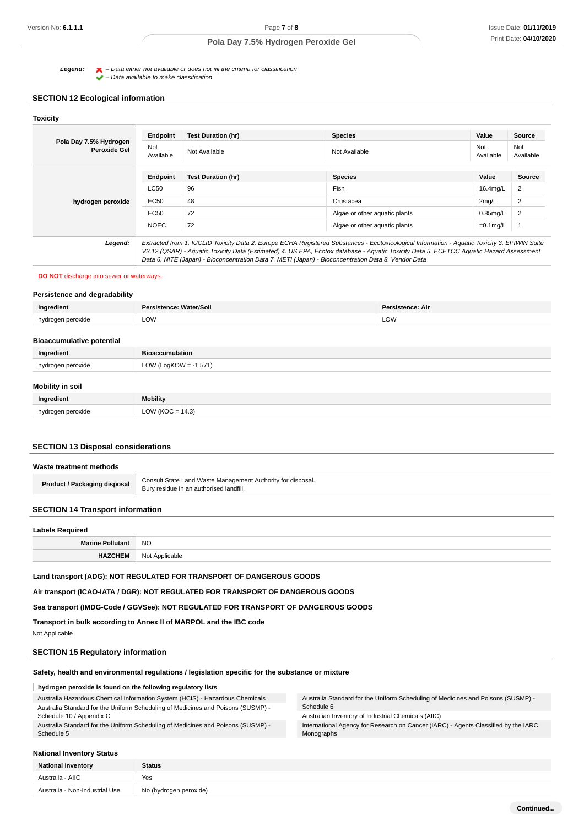**Legena:**  $\bullet$  – Data either not available or does not fill the criteria for classification

 $\blacktriangleright$  – Data available to make classification

# **SECTION 12 Ecological information**

| Pola Day 7.5% Hydrogen<br><b>Peroxide Gel</b> | Endpoint         | <b>Test Duration (hr)</b>                                                                           | <b>Species</b>                                                                                                                                | Value            | Source           |
|-----------------------------------------------|------------------|-----------------------------------------------------------------------------------------------------|-----------------------------------------------------------------------------------------------------------------------------------------------|------------------|------------------|
|                                               | Not<br>Available | Not Available                                                                                       | Not Available                                                                                                                                 | Not<br>Available | Not<br>Available |
|                                               | Endpoint         | <b>Test Duration (hr)</b>                                                                           | <b>Species</b>                                                                                                                                | Value            | <b>Source</b>    |
| hydrogen peroxide                             | LC50             | 96                                                                                                  | Fish                                                                                                                                          | 16.4mg/L         | 2                |
|                                               | EC50             | 48                                                                                                  | Crustacea                                                                                                                                     | 2mg/L            | 2                |
|                                               | EC50             | 72                                                                                                  | Algae or other aquatic plants                                                                                                                 | $0.85$ mg/L      | 2                |
|                                               | <b>NOEC</b>      | 72                                                                                                  | Algae or other aquatic plants                                                                                                                 | $=0.1$ mg/L      |                  |
| Legend:                                       |                  |                                                                                                     | Extracted from 1. IUCLID Toxicity Data 2. Europe ECHA Registered Substances - Ecotoxicological Information - Aquatic Toxicity 3. EPIWIN Suite |                  |                  |
|                                               |                  | Data 6. NITE (Japan) - Bioconcentration Data 7. METI (Japan) - Bioconcentration Data 8. Vendor Data | V3.12 (QSAR) - Aquatic Toxicity Data (Estimated) 4. US EPA, Ecotox database - Aquatic Toxicity Data 5. ECETOC Aquatic Hazard Assessment       |                  |                  |

#### **DO NOT** discharge into sewer or waterways.

# **Persistence and degradability**

| Inarodic            | soil | Dare<br>stence: Air |
|---------------------|------|---------------------|
| hvdi<br>. vine<br>. | LOW  | LOW                 |
|                     |      |                     |

#### **Bioaccumulative potential**

| Ingredient              | <b>Bioaccumulation</b> |  |  |
|-------------------------|------------------------|--|--|
| hydrogen peroxide       | LOW (LogKOW = -1.571)  |  |  |
| <b>Mobility in soil</b> |                        |  |  |

# **Ingredient Mobility** hydrogen peroxide LOW (KOC = 14.3)

# **SECTION 13 Disposal considerations**

# **Waste treatment methods Product / Packaging disposal Consult State Land Waste Management Authority for disposal.** Bury residue in an authorised landfill.

# **SECTION 14 Transport information**

| <b>Labels Required</b>  |                     |  |  |
|-------------------------|---------------------|--|--|
| <b>Marine Pollutant</b> | <b>NO</b><br>$\sim$ |  |  |
| <b>HAZCHEM</b>          | Not Applicable      |  |  |

## **Land transport (ADG): NOT REGULATED FOR TRANSPORT OF DANGEROUS GOODS**

**Air transport (ICAO-IATA / DGR): NOT REGULATED FOR TRANSPORT OF DANGEROUS GOODS**

**Sea transport (IMDG-Code / GGVSee): NOT REGULATED FOR TRANSPORT OF DANGEROUS GOODS**

**Transport in bulk according to Annex II of MARPOL and the IBC code** Not Applicable

# **SECTION 15 Regulatory information**

# **Safety, health and environmental regulations / legislation specific for the substance or mixture**

# **hydrogen peroxide is found on the following regulatory lists**

| Australia Hazardous Chemical Information System (HCIS) - Hazardous Chemicals<br>Australia Standard for the Uniform Scheduling of Medicines and Poisons (SUSMP) - | Australia Standard for the Uniform Scheduling of Medicines and Poisons (SUSMP) -<br>Schedule 6 |  |
|------------------------------------------------------------------------------------------------------------------------------------------------------------------|------------------------------------------------------------------------------------------------|--|
| Schedule 10 / Appendix C                                                                                                                                         | Australian Inventory of Industrial Chemicals (AIIC)                                            |  |
| Australia Standard for the Uniform Scheduling of Medicines and Poisons (SUSMP) -                                                                                 | International Agency for Research on Cancer (IARC) - Agents Classified by the IARC             |  |
| Schedule 5                                                                                                                                                       | Monographs                                                                                     |  |

#### **National Inventory Status**

| <b>National Inventory</b>      | <b>Status</b>          |
|--------------------------------|------------------------|
| Australia - AIIC               | Yes                    |
| Australia - Non-Industrial Use | No (hydrogen peroxide) |